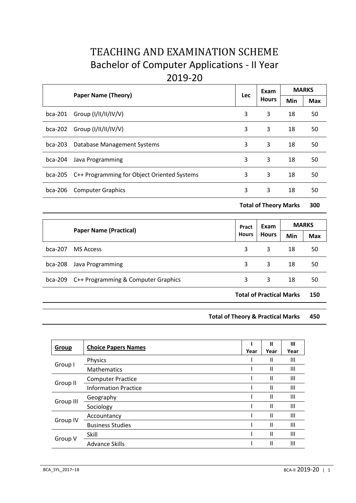# TEACHING AND EXAMINATION SCHEME Bachelor of Computer Applications - II Year 2019-20

|           | <b>Paper Name (Theory)</b>                  | Lec | Exam<br><b>Hours</b> | <b>MARKS</b> |            |
|-----------|---------------------------------------------|-----|----------------------|--------------|------------|
|           |                                             |     |                      | Min          | <b>Max</b> |
| $bca-201$ | Group (I/II/II/IV/V)                        | 3   | 3                    | 18           | 50         |
| $bca-202$ | Group $(I/II/II/IV/V)$                      | 3   | 3                    | 18           | 50         |
| $bca-203$ | Database Management Systems                 | 3   | 3                    | 18           | 50         |
| $bca-204$ | Java Programming                            | 3   | 3                    | 18           | 50         |
| bca-205   | C++ Programming for Object Oriented Systems | 3   | 3                    | 18           | 50         |
| $bca-206$ | <b>Computer Graphics</b>                    | 3   | 3                    | 18           | 50         |
|           |                                             |     |                      |              |            |

**Total of Theory Marks 300**

| <b>Paper Name (Practical)</b> |                                     | Pract<br><b>Hours</b> | Exam<br><b>Hours</b>            | <b>MARKS</b> |            |
|-------------------------------|-------------------------------------|-----------------------|---------------------------------|--------------|------------|
|                               |                                     |                       |                                 | Min          | <b>Max</b> |
| $bca-207$                     | MS Access                           | 3                     | 3                               | 18           | 50         |
| bca-208                       | Java Programming                    | 3                     | 3                               | 18           | 50         |
| bca-209                       | C++ Programming & Computer Graphics | 3                     | 3                               | 18           | 50         |
|                               |                                     |                       | <b>Total of Practical Marks</b> |              | 150        |

# **Total of Theory & Practical Marks 450**

| Group     | <b>Choice Papers Names</b>  | Year | Ш<br>Year     | Ш<br>Year |
|-----------|-----------------------------|------|---------------|-----------|
|           | Physics                     |      | Ш             | Ш         |
| Group I   | Mathematics                 |      | Ш             | Ш         |
|           | <b>Computer Practice</b>    |      | $\mathsf{II}$ | Ш         |
| Group II  | <b>Information Practice</b> |      | Ш             | Ш         |
|           | Geography                   |      | $\mathbf{I}$  | Ш         |
| Group III | Sociology                   |      | $\mathbf{I}$  | Ш         |
|           | Accountancy                 |      | $\mathbf{I}$  | Ш         |
| Group IV  | <b>Business Studies</b>     |      | $\mathsf{I}$  | Ш         |
| Group V   | Skill                       |      | $\mathbf{I}$  | Ш         |
|           | <b>Advance Skills</b>       |      | Ш             | Ш         |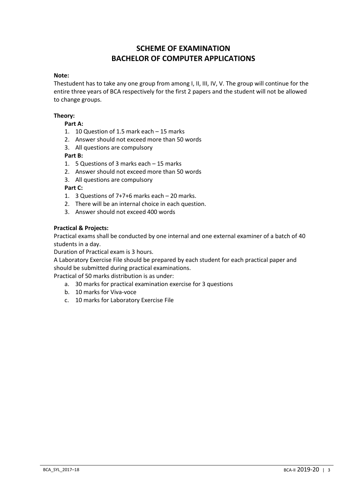# **SCHEME OF EXAMINATION BACHELOR OF COMPUTER APPLICATIONS**

#### **Note:**

Thestudent has to take any one group from among I, II, III, IV, V. The group will continue for the entire three years of BCA respectively for the first 2 papers and the student will not be allowed to change groups.

# **Theory:**

# **Part A:**

- 1. 10 Question of 1.5 mark each 15 marks
- 2. Answer should not exceed more than 50 words
- 3. All questions are compulsory

# **Part B:**

- 1. 5 Questions of 3 marks each 15 marks
- 2. Answer should not exceed more than 50 words
- 3. All questions are compulsory

# **Part C:**

- 1. 3 Questions of 7+7+6 marks each 20 marks.
- 2. There will be an internal choice in each question.
- 3. Answer should not exceed 400 words

#### **Practical & Projects:**

Practical exams shall be conducted by one internal and one external examiner of a batch of 40 students in a day.

Duration of Practical exam is 3 hours.

A Laboratory Exercise File should be prepared by each student for each practical paper and should be submitted during practical examinations.

Practical of 50 marks distribution is as under:

- a. 30 marks for practical examination exercise for 3 questions
- b. 10 marks for Viva-voce
- c. 10 marks for Laboratory Exercise File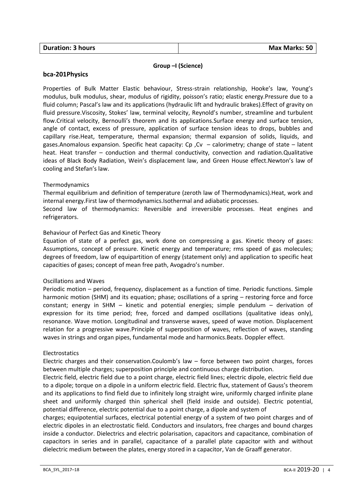#### **Group –I (Science)**

#### **bca-201Physics**

Properties of Bulk Matter Elastic behaviour, Stress-strain relationship, Hooke's law, Young's modulus, bulk modulus, shear, modulus of rigidity, poisson's ratio; elastic energy.Pressure due to a fluid column; Pascal's law and its applications (hydraulic lift and hydraulic brakes).Effect of gravity on fluid pressure.Viscosity, Stokes' law, terminal velocity, Reynold's number, streamline and turbulent flow.Critical velocity, Bernoulli's theorem and its applications.Surface energy and surface tension, angle of contact, excess of pressure, application of surface tension ideas to drops, bubbles and capillary rise.Heat, temperature, thermal expansion; thermal expansion of solids, liquids, and gases.Anomalous expansion. Specific heat capacity: Cp ,Cv – calorimetry; change of state – latent heat. Heat transfer – conduction and thermal conductivity, convection and radiation.Qualitative ideas of Black Body Radiation, Wein's displacement law, and Green House effect.Newton's law of cooling and Stefan's law.

#### Thermodynamics

Thermal equilibrium and definition of temperature (zeroth law of Thermodynamics).Heat, work and internal energy.First law of thermodynamics.Isothermal and adiabatic processes.

Second law of thermodynamics: Reversible and irreversible processes. Heat engines and refrigerators.

#### Behaviour of Perfect Gas and Kinetic Theory

Equation of state of a perfect gas, work done on compressing a gas. Kinetic theory of gases: Assumptions, concept of pressure. Kinetic energy and temperature; rms speed of gas molecules; degrees of freedom, law of equipartition of energy (statement only) and application to specific heat capacities of gases; concept of mean free path, Avogadro's number.

#### Oscillations and Waves

Periodic motion – period, frequency, displacement as a function of time. Periodic functions. Simple harmonic motion (SHM) and its equation; phase; oscillations of a spring – restoring force and force constant; energy in SHM – kinetic and potential energies; simple pendulum – derivation of expression for its time period; free, forced and damped oscillations (qualitative ideas only), resonance. Wave motion. Longitudinal and transverse waves, speed of wave motion. Displacement relation for a progressive wave.Principle of superposition of waves, reflection of waves, standing waves in strings and organ pipes, fundamental mode and harmonics.Beats. Doppler effect.

#### **Electrostatics**

Electric charges and their conservation.Coulomb's law  $-$  force between two point charges, forces between multiple charges; superposition principle and continuous charge distribution.

Electric field, electric field due to a point charge, electric field lines; electric dipole, electric field due to a dipole; torque on a dipole in a uniform electric field. Electric flux, statement of Gauss's theorem and its applications to find field due to infinitely long straight wire, uniformly charged infinite plane sheet and uniformly charged thin spherical shell (field inside and outside). Electric potential, potential difference, electric potential due to a point charge, a dipole and system of

charges; equipotential surfaces, electrical potential energy of a system of two point charges and of electric dipoles in an electrostatic field. Conductors and insulators, free charges and bound charges inside a conductor. Dielectrics and electric polarisation, capacitors and capacitance, combination of capacitors in series and in parallel, capacitance of a parallel plate capacitor with and without dielectric medium between the plates, energy stored in a capacitor, Van de Graaff generator.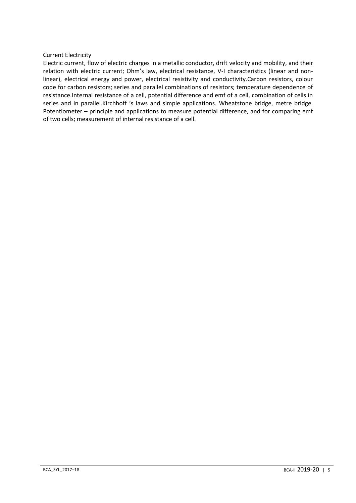# Current Electricity

Electric current, flow of electric charges in a metallic conductor, drift velocity and mobility, and their relation with electric current; Ohm's law, electrical resistance, V-I characteristics (linear and nonlinear), electrical energy and power, electrical resistivity and conductivity.Carbon resistors, colour code for carbon resistors; series and parallel combinations of resistors; temperature dependence of resistance.Internal resistance of a cell, potential difference and emf of a cell, combination of cells in series and in parallel.Kirchhoff 's laws and simple applications. Wheatstone bridge, metre bridge. Potentiometer – principle and applications to measure potential difference, and for comparing emf of two cells; measurement of internal resistance of a cell.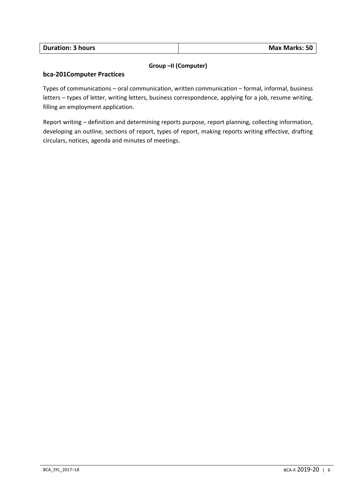| <b>Duration: 3 hours</b> | <b>Max Marks: 50</b> |
|--------------------------|----------------------|
|                          |                      |

# **Group –II (Computer)**

# **bca-201Computer Practices**

Types of communications – oral communication, written communication – formal, informal, business letters – types of letter, writing letters, business correspondence, applying for a job, resume writing, filling an employment application.

Report writing – definition and determining reports purpose, report planning, collecting information, developing an outline, sections of report, types of report, making reports writing effective, drafting circulars, notices, agenda and minutes of meetings.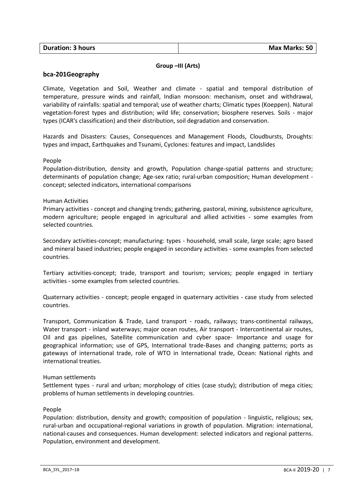| <b>Duration: 3 hours</b> | Max Marks: 50 |
|--------------------------|---------------|
|                          |               |

# **Group –III (Arts)**

# **bca-201Geography**

Climate, Vegetation and Soil, Weather and climate - spatial and temporal distribution of temperature, pressure winds and rainfall, Indian monsoon: mechanism, onset and withdrawal, variability of rainfalls: spatial and temporal; use of weather charts; Climatic types (Koeppen). Natural vegetation-forest types and distribution; wild life; conservation; biosphere reserves. Soils - major types (ICAR's classification) and their distribution, soil degradation and conservation.

Hazards and Disasters: Causes, Consequences and Management Floods, Cloudbursts, Droughts: types and impact, Earthquakes and Tsunami, Cyclones: features and impact, Landslides

#### People

Population-distribution, density and growth, Population change-spatial patterns and structure; determinants of population change; Age-sex ratio; rural-urban composition; Human development concept; selected indicators, international comparisons

#### Human Activities

Primary activities - concept and changing trends; gathering, pastoral, mining, subsistence agriculture, modern agriculture; people engaged in agricultural and allied activities - some examples from selected countries.

Secondary activities-concept; manufacturing: types - household, small scale, large scale; agro based and mineral based industries; people engaged in secondary activities - some examples from selected countries.

Tertiary activities-concept; trade, transport and tourism; services; people engaged in tertiary activities - some examples from selected countries.

Quaternary activities - concept; people engaged in quaternary activities - case study from selected countries.

Transport, Communication & Trade, Land transport - roads, railways; trans-continental railways, Water transport - inland waterways; major ocean routes, Air transport - Intercontinental air routes, Oil and gas pipelines, Satellite communication and cyber space- Importance and usage for geographical information; use of GPS, International trade-Bases and changing patterns; ports as gateways of international trade, role of WTO in International trade, Ocean: National rights and international treaties.

#### Human settlements

Settlement types - rural and urban; morphology of cities (case study); distribution of mega cities; problems of human settlements in developing countries.

#### People

Population: distribution, density and growth; composition of population - linguistic, religious; sex, rural-urban and occupational-regional variations in growth of population. Migration: international, national-causes and consequences. Human development: selected indicators and regional patterns. Population, environment and development.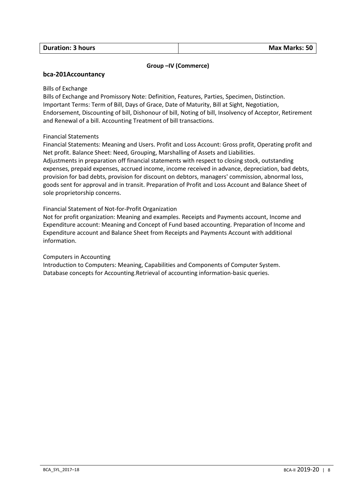# **Group –IV (Commerce)**

# **bca-201Accountancy**

#### Bills of Exchange

Bills of Exchange and Promissory Note: Definition, Features, Parties, Specimen, Distinction. Important Terms: Term of Bill, Days of Grace, Date of Maturity, Bill at Sight, Negotiation, Endorsement, Discounting of bill, Dishonour of bill, Noting of bill, Insolvency of Acceptor, Retirement and Renewal of a bill. Accounting Treatment of bill transactions.

# Financial Statements

Financial Statements: Meaning and Users. Profit and Loss Account: Gross profit, Operating profit and Net profit. Balance Sheet: Need, Grouping, Marshalling of Assets and Liabilities. Adjustments in preparation off financial statements with respect to closing stock, outstanding expenses, prepaid expenses, accrued income, income received in advance, depreciation, bad debts, provision for bad debts, provision for discount on debtors, managers' commission, abnormal loss, goods sent for approval and in transit. Preparation of Profit and Loss Account and Balance Sheet of sole proprietorship concerns.

# Financial Statement of Not-for-Profit Organization

Not for profit organization: Meaning and examples. Receipts and Payments account, Income and Expenditure account: Meaning and Concept of Fund based accounting. Preparation of Income and Expenditure account and Balance Sheet from Receipts and Payments Account with additional information.

#### Computers in Accounting

Introduction to Computers: Meaning, Capabilities and Components of Computer System. Database concepts for Accounting.Retrieval of accounting information-basic queries.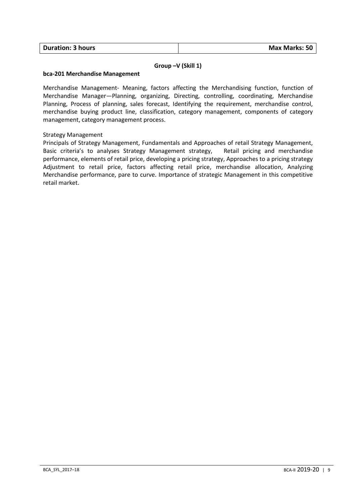# **Group –V (Skill 1)**

#### **bca-201 Merchandise Management**

Merchandise Management- Meaning, factors affecting the Merchandising function, function of Merchandise Manager—Planning, organizing, Directing, controlling, coordinating, Merchandise Planning, Process of planning, sales forecast, Identifying the requirement, merchandise control, merchandise buying product line, classification, category management, components of category management, category management process.

# Strategy Management

Principals of Strategy Management, Fundamentals and Approaches of retail Strategy Management, Basic criteria's to analyses Strategy Management strategy, Retail pricing and merchandise performance, elements of retail price, developing a pricing strategy, Approaches to a pricing strategy Adjustment to retail price, factors affecting retail price, merchandise allocation, Analyzing Merchandise performance, pare to curve. Importance of strategic Management in this competitive retail market.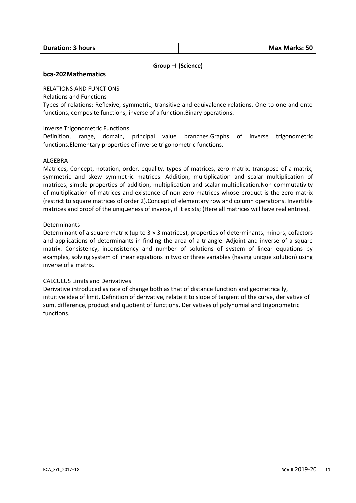# **Group –I (Science)**

# **bca-202Mathematics**

# RELATIONS AND FUNCTIONS

Relations and Functions

Types of relations: Reflexive, symmetric, transitive and equivalence relations. One to one and onto functions, composite functions, inverse of a function.Binary operations.

#### Inverse Trigonometric Functions

Definition, range, domain, principal value branches.Graphs of inverse trigonometric functions.Elementary properties of inverse trigonometric functions.

#### ALGEBRA

Matrices, Concept, notation, order, equality, types of matrices, zero matrix, transpose of a matrix, symmetric and skew symmetric matrices. Addition, multiplication and scalar multiplication of matrices, simple properties of addition, multiplication and scalar multiplication.Non-commutativity of multiplication of matrices and existence of non-zero matrices whose product is the zero matrix (restrict to square matrices of order 2).Concept of elementary row and column operations. Invertible matrices and proof of the uniqueness of inverse, if it exists; (Here all matrices will have real entries).

#### Determinants

Determinant of a square matrix (up to  $3 \times 3$  matrices), properties of determinants, minors, cofactors and applications of determinants in finding the area of a triangle. Adjoint and inverse of a square matrix. Consistency, inconsistency and number of solutions of system of linear equations by examples, solving system of linear equations in two or three variables (having unique solution) using inverse of a matrix.

#### CALCULUS Limits and Derivatives

Derivative introduced as rate of change both as that of distance function and geometrically, intuitive idea of limit, Definition of derivative, relate it to slope of tangent of the curve, derivative of sum, difference, product and quotient of functions. Derivatives of polynomial and trigonometric functions.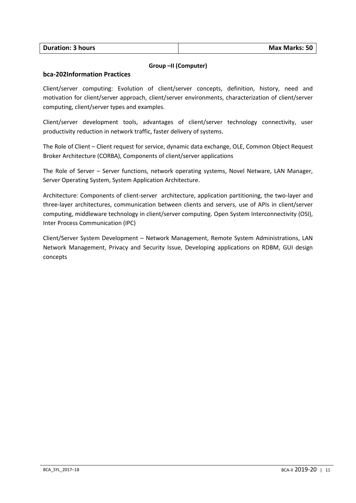| <b>Duration: 3 hours</b> | <b>Max Marks: 50</b> |
|--------------------------|----------------------|
|                          |                      |

# **Group –II (Computer)**

# **bca-202Information Practices**

Client/server computing: Evolution of client/server concepts, definition, history, need and motivation for client/server approach, client/server environments, characterization of client/server computing, client/server types and examples.

Client/server development tools, advantages of client/server technology connectivity, user productivity reduction in network traffic, faster delivery of systems.

The Role of Client – Client request for service, dynamic data exchange, OLE, Common Object Request Broker Architecture (CORBA), Components of client/server applications

The Role of Server – Server functions, network operating systems, Novel Netware, LAN Manager, Server Operating System, System Application Architecture.

Architecture: Components of client-server architecture, application partitioning, the two-layer and three-layer architectures, communication between clients and servers, use of APIs in client/server computing, middleware technology in client/server computing. Open System Interconnectivity (OSI), Inter Process Communication (IPC)

Client/Server System Development – Network Management, Remote System Administrations, LAN Network Management, Privacy and Security Issue, Developing applications on RDBM, GUI design concepts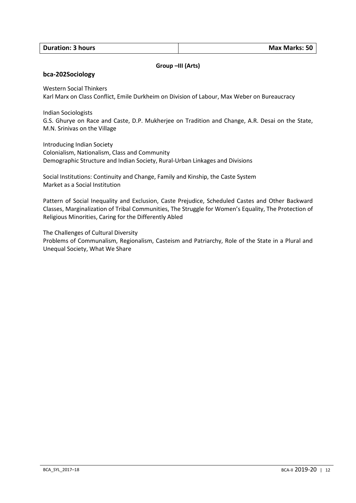# **Group –III (Arts)**

#### **bca-202Sociology**

Western Social Thinkers

Karl Marx on Class Conflict, Emile Durkheim on Division of Labour, Max Weber on Bureaucracy

Indian Sociologists

G.S. Ghurye on Race and Caste, D.P. Mukherjee on Tradition and Change, A.R. Desai on the State, M.N. Srinivas on the Village

Introducing Indian Society Colonialism, Nationalism, Class and Community Demographic Structure and Indian Society, Rural-Urban Linkages and Divisions

Social Institutions: Continuity and Change, Family and Kinship, the Caste System Market as a Social Institution

Pattern of Social Inequality and Exclusion, Caste Prejudice, Scheduled Castes and Other Backward Classes, Marginalization of Tribal Communities, The Struggle for Women's Equality, The Protection of Religious Minorities, Caring for the Differently Abled

The Challenges of Cultural Diversity Problems of Communalism, Regionalism, Casteism and Patriarchy, Role of the State in a Plural and Unequal Society, What We Share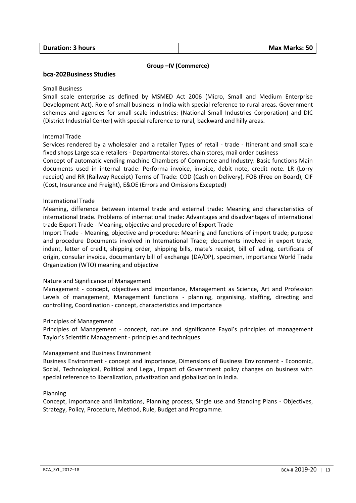# **Group –IV (Commerce)**

# **bca-202Business Studies**

#### Small Business

Small scale enterprise as defined by MSMED Act 2006 (Micro, Small and Medium Enterprise Development Act). Role of small business in India with special reference to rural areas. Government schemes and agencies for small scale industries: (National Small Industries Corporation) and DIC (District Industrial Center) with special reference to rural, backward and hilly areas.

# Internal Trade

Services rendered by a wholesaler and a retailer Types of retail - trade - Itinerant and small scale fixed shops Large scale retailers - Departmental stores, chain stores, mail order business

Concept of automatic vending machine Chambers of Commerce and Industry: Basic functions Main documents used in internal trade: Performa invoice, invoice, debit note, credit note. LR (Lorry receipt) and RR (Railway Receipt) Terms of Trade: COD (Cash on Delivery), FOB (Free on Board), CIF (Cost, Insurance and Freight), E&OE (Errors and Omissions Excepted)

#### International Trade

Meaning, difference between internal trade and external trade: Meaning and characteristics of international trade. Problems of international trade: Advantages and disadvantages of international trade Export Trade - Meaning, objective and procedure of Export Trade

Import Trade - Meaning, objective and procedure: Meaning and functions of import trade; purpose and procedure Documents involved in International Trade; documents involved in export trade, indent, letter of credit, shipping order, shipping bills, mate's receipt, bill of lading, certificate of origin, consular invoice, documentary bill of exchange (DA/DP), specimen, importance World Trade Organization (WTO) meaning and objective

#### Nature and Significance of Management

Management - concept, objectives and importance, Management as Science, Art and Profession Levels of management, Management functions - planning, organising, staffing, directing and controlling, Coordination - concept, characteristics and importance

#### Principles of Management

Principles of Management - concept, nature and significance Fayol's principles of management Taylor's Scientific Management - principles and techniques

#### Management and Business Environment

Business Environment - concept and importance, Dimensions of Business Environment - Economic, Social, Technological, Political and Legal, Impact of Government policy changes on business with special reference to liberalization, privatization and globalisation in India.

#### Planning

Concept, importance and limitations, Planning process, Single use and Standing Plans - Objectives, Strategy, Policy, Procedure, Method, Rule, Budget and Programme.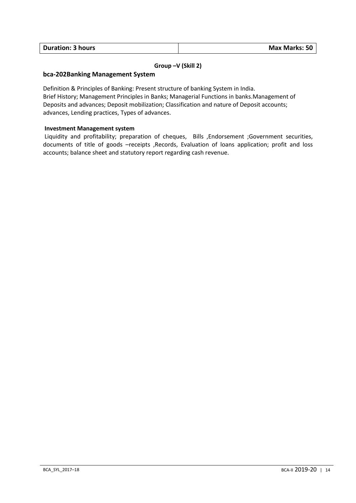| <b>Duration: 3 hours</b> | <b>Max Marks: 50</b> |
|--------------------------|----------------------|

# **Group –V (Skill 2)**

# **bca-202Banking Management System**

Definition & Principles of Banking: Present structure of banking System in India. Brief History; Management Principles in Banks; Managerial Functions in banks.Management of Deposits and advances; Deposit mobilization; Classification and nature of Deposit accounts; advances, Lending practices, Types of advances.

# **Investment Management system**

Liquidity and profitability; preparation of cheques, Bills ,Endorsement ;Government securities, documents of title of goods –receipts ,Records, Evaluation of loans application; profit and loss accounts; balance sheet and statutory report regarding cash revenue.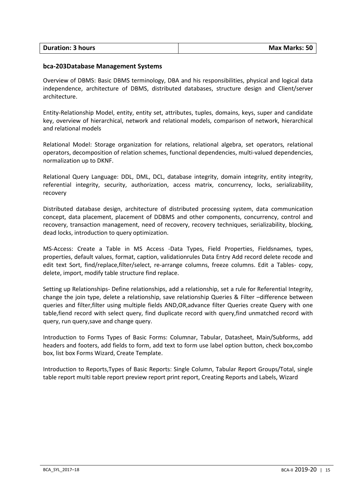| <b>Duration: 3 hours</b> | <b>Max Marks: 50</b> |
|--------------------------|----------------------|

#### **bca-203Database Management Systems**

Overview of DBMS: Basic DBMS terminology, DBA and his responsibilities, physical and logical data independence, architecture of DBMS, distributed databases, structure design and Client/server architecture.

Entity-Relationship Model, entity, entity set, attributes, tuples, domains, keys, super and candidate key, overview of hierarchical, network and relational models, comparison of network, hierarchical and relational models

Relational Model: Storage organization for relations, relational algebra, set operators, relational operators, decomposition of relation schemes, functional dependencies, multi-valued dependencies, normalization up to DKNF.

Relational Query Language: DDL, DML, DCL, database integrity, domain integrity, entity integrity, referential integrity, security, authorization, access matrix, concurrency, locks, serializability, recovery

Distributed database design, architecture of distributed processing system, data communication concept, data placement, placement of DDBMS and other components, concurrency, control and recovery, transaction management, need of recovery, recovery techniques, serializability, blocking, dead locks, introduction to query optimization.

MS-Access: Create a Table in MS Access -Data Types, Field Properties, Fieldsnames, types, properties, default values, format, caption, validationrules Data Entry Add record delete recode and edit text Sort, find/replace,filter/select, re-arrange columns, freeze columns. Edit a Tables- copy, delete, import, modify table structure find replace.

Setting up Relationships- Define relationships, add a relationship, set a rule for Referential Integrity, change the join type, delete a relationship, save relationship Queries & Filter –difference between queries and filter,filter using multiple fields AND,OR,advance filter Queries create Query with one table,fiend record with select query, find duplicate record with query,find unmatched record with query, run query,save and change query.

Introduction to Forms Types of Basic Forms: Columnar, Tabular, Datasheet, Main/Subforms, add headers and footers, add fields to form, add text to form use label option button, check box,combo box, list box Forms Wizard, Create Template.

Introduction to Reports,Types of Basic Reports: Single Column, Tabular Report Groups/Total, single table report multi table report preview report print report, Creating Reports and Labels, Wizard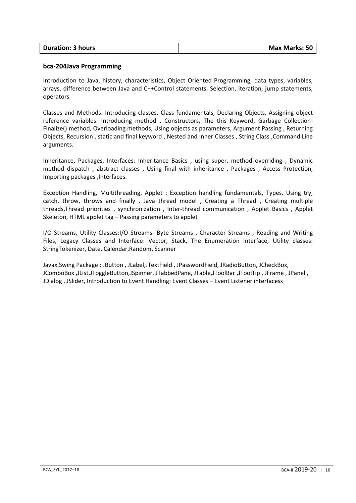| <b>Duration: 3 hours</b> | <b>Max Marks: 50</b> |
|--------------------------|----------------------|
|                          |                      |

# **bca-204Java Programming**

Introduction to Java, history, characteristics, Object Oriented Programming, data types, variables, arrays, difference between Java and C++Control statements: Selection, iteration, jump statements, operators

Classes and Methods: Introducing classes, Class fundamentals, Declaring Objects, Assigning object reference variables. Introducing method , Constructors, The this Keyword, Garbage Collection-Finalize() method, Overloading methods, Using objects as parameters, Argument Passing , Returning Objects, Recursion , static and final keyword , Nested and Inner Classes , String Class ,Command Line arguments.

Inheritance, Packages, Interfaces: Inheritance Basics , using super, method overriding , Dynamic method dispatch , abstract classes , Using final with inheritance , Packages , Access Protection, Importing packages ,Interfaces.

Exception Handling, Multithreading, Applet : Exception handling fundamentals, Types, Using try, catch, throw, throws and finally , Java thread model , Creating a Thread , Creating multiple threads,Thread priorities , synchronization , Inter-thread communication , Applet Basics , Applet Skeleton, HTML applet tag – Passing parameters to applet

I/O Streams, Utility Classes:I/O Streams- Byte Streams , Character Streams , Reading and Writing Files, Legacy Classes and Interface: Vector, Stack, The Enumeration Interface, Utility classes: StringTokenizer, Date, Calendar,Random, Scanner

Javax.Swing Package : JButton , JLabel,JTextField , JPasswordField, JRadioButton, JCheckBox, JComboBox ,JList,JToggleButton,JSpinner, JTabbedPane, JTable,JToolBar ,JToolTip , JFrame , JPanel , JDialog , JSlider, Introduction to Event Handling: Event Classes – Event Listener interfacess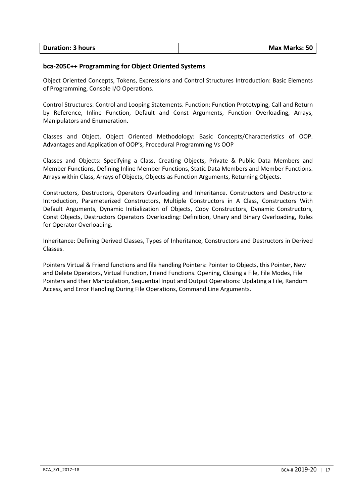| <b>Duration: 3 hours</b> | <b>Max Marks: 50</b> |
|--------------------------|----------------------|
|                          |                      |

# **bca-205C++ Programming for Object Oriented Systems**

Object Oriented Concepts, Tokens, Expressions and Control Structures Introduction: Basic Elements of Programming, Console I/O Operations.

Control Structures: Control and Looping Statements. Function: Function Prototyping, Call and Return by Reference, Inline Function, Default and Const Arguments, Function Overloading, Arrays, Manipulators and Enumeration.

Classes and Object, Object Oriented Methodology: Basic Concepts/Characteristics of OOP. Advantages and Application of OOP's, Procedural Programming Vs OOP

Classes and Objects: Specifying a Class, Creating Objects, Private & Public Data Members and Member Functions, Defining Inline Member Functions, Static Data Members and Member Functions. Arrays within Class, Arrays of Objects, Objects as Function Arguments, Returning Objects.

Constructors, Destructors, Operators Overloading and Inheritance. Constructors and Destructors: Introduction, Parameterized Constructors, Multiple Constructors in A Class, Constructors With Default Arguments, Dynamic Initialization of Objects, Copy Constructors, Dynamic Constructors, Const Objects, Destructors Operators Overloading: Definition, Unary and Binary Overloading, Rules for Operator Overloading.

Inheritance: Defining Derived Classes, Types of Inheritance, Constructors and Destructors in Derived Classes.

Pointers Virtual & Friend functions and file handling Pointers: Pointer to Objects, this Pointer, New and Delete Operators, Virtual Function, Friend Functions. Opening, Closing a File, File Modes, File Pointers and their Manipulation, Sequential Input and Output Operations: Updating a File, Random Access, and Error Handling During File Operations, Command Line Arguments.